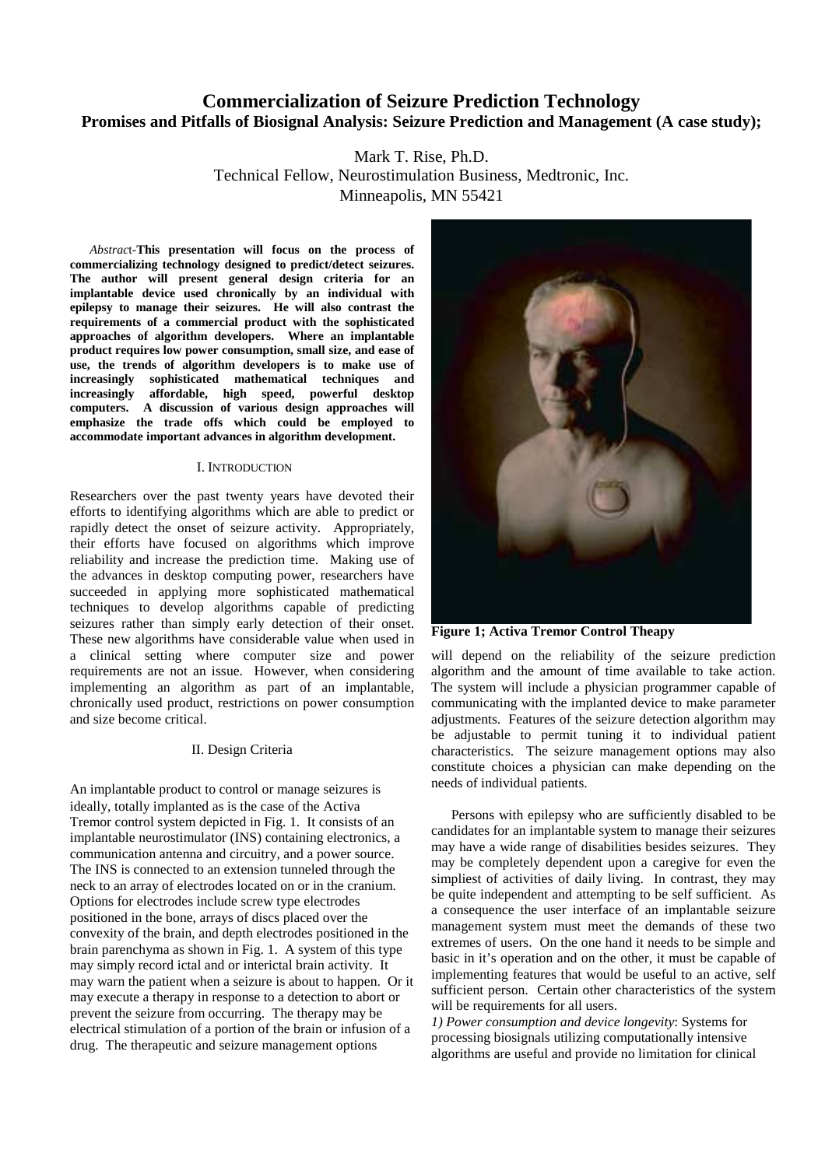# **Commercialization of Seizure Prediction Technology Promises and Pitfalls of Biosignal Analysis: Seizure Prediction and Management (A case study);**

Mark T. Rise, Ph.D. Technical Fellow, Neurostimulation Business, Medtronic, Inc. Minneapolis, MN 55421

*Abstrac*t-**This presentation will focus on the process of commercializing technology designed to predict/detect seizures. The author will present general design criteria for an implantable device used chronically by an individual with epilepsy to manage their seizures. He will also contrast the requirements of a commercial product with the sophisticated approaches of algorithm developers. Where an implantable product requires low power consumption, small size, and ease of use, the trends of algorithm developers is to make use of increasingly sophisticated mathematical techniques and increasingly affordable, high speed, powerful desktop computers. A discussion of various design approaches will emphasize the trade offs which could be employed to accommodate important advances in algorithm development.**

#### I. INTRODUCTION

Researchers over the past twenty years have devoted their efforts to identifying algorithms which are able to predict or rapidly detect the onset of seizure activity. Appropriately, their efforts have focused on algorithms which improve reliability and increase the prediction time. Making use of the advances in desktop computing power, researchers have succeeded in applying more sophisticated mathematical techniques to develop algorithms capable of predicting seizures rather than simply early detection of their onset. These new algorithms have considerable value when used in a clinical setting where computer size and power requirements are not an issue. However, when considering implementing an algorithm as part of an implantable, chronically used product, restrictions on power consumption and size become critical.

## II. Design Criteria

An implantable product to control or manage seizures is ideally, totally implanted as is the case of the Activa® Tremor control system depicted in Fig. 1. It consists of an implantable neurostimulator (INS) containing electronics, a communication antenna and circuitry, and a power source. The INS is connected to an extension tunneled through the neck to an array of electrodes located on or in the cranium. Options for electrodes include screw type electrodes positioned in the bone, arrays of discs placed over the convexity of the brain, and depth electrodes positioned in the brain parenchyma as shown in Fig. 1. A system of this type may simply record ictal and or interictal brain activity. It may warn the patient when a seizure is about to happen. Or it may execute a therapy in response to a detection to abort or prevent the seizure from occurring. The therapy may be electrical stimulation of a portion of the brain or infusion of a drug. The therapeutic and seizure management options



**Figure 1; Activa Tremor Control Theapy**

will depend on the reliability of the seizure prediction algorithm and the amount of time available to take action. The system will include a physician programmer capable of communicating with the implanted device to make parameter adjustments. Features of the seizure detection algorithm may be adjustable to permit tuning it to individual patient characteristics. The seizure management options may also constitute choices a physician can make depending on the needs of individual patients.

Persons with epilepsy who are sufficiently disabled to be candidates for an implantable system to manage their seizures may have a wide range of disabilities besides seizures. They may be completely dependent upon a caregive for even the simpliest of activities of daily living. In contrast, they may be quite independent and attempting to be self sufficient. As a consequence the user interface of an implantable seizure management system must meet the demands of these two extremes of users. On the one hand it needs to be simple and basic in it's operation and on the other, it must be capable of implementing features that would be useful to an active, self sufficient person. Certain other characteristics of the system will be requirements for all users.

*1) Power consumption and device longevity*: Systems for processing biosignals utilizing computationally intensive algorithms are useful and provide no limitation for clinical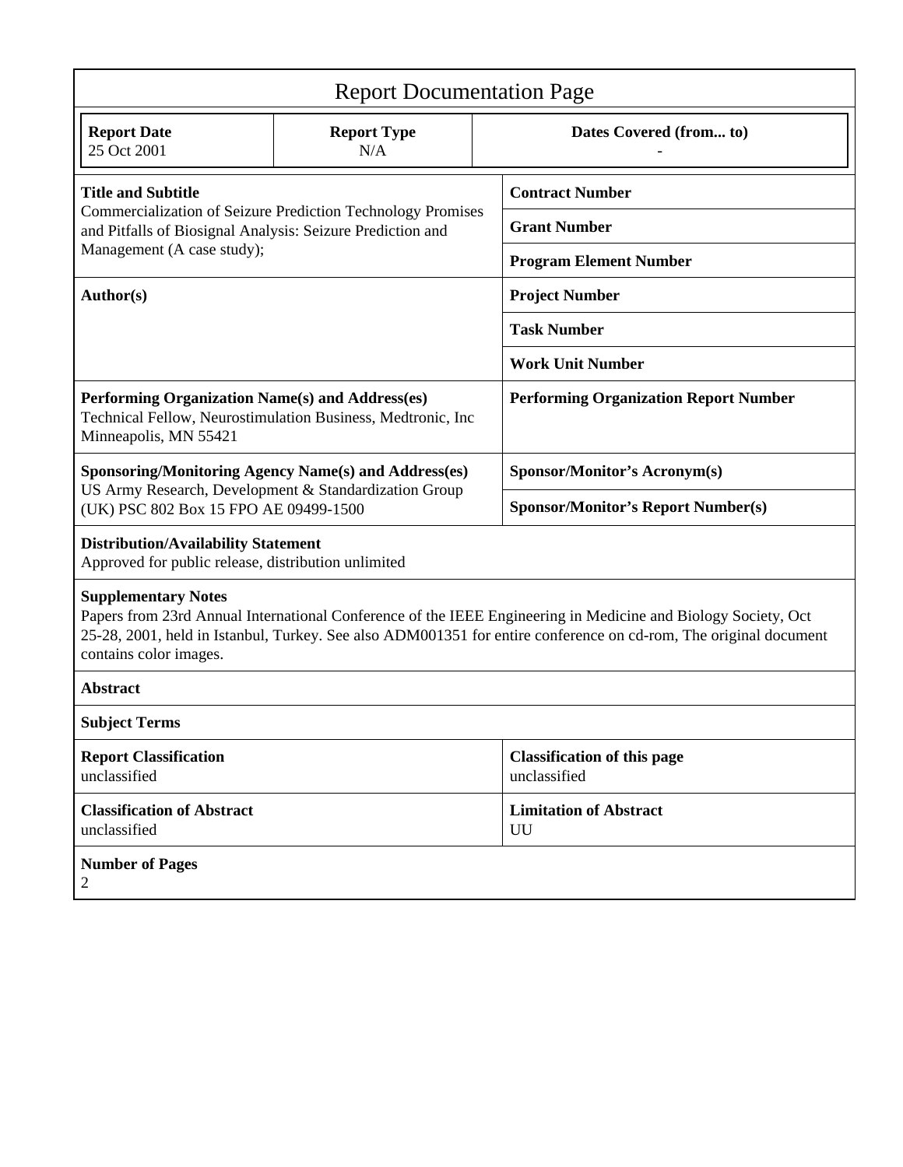| <b>Report Documentation Page</b>                                                                                                                                                                                                                                                          |                           |  |                                                    |  |
|-------------------------------------------------------------------------------------------------------------------------------------------------------------------------------------------------------------------------------------------------------------------------------------------|---------------------------|--|----------------------------------------------------|--|
| <b>Report Date</b><br>25 Oct 2001                                                                                                                                                                                                                                                         | <b>Report Type</b><br>N/A |  | Dates Covered (from to)                            |  |
| <b>Title and Subtitle</b><br>Commercialization of Seizure Prediction Technology Promises<br>and Pitfalls of Biosignal Analysis: Seizure Prediction and<br>Management (A case study);                                                                                                      |                           |  | <b>Contract Number</b>                             |  |
|                                                                                                                                                                                                                                                                                           |                           |  | <b>Grant Number</b>                                |  |
|                                                                                                                                                                                                                                                                                           |                           |  | <b>Program Element Number</b>                      |  |
| Author(s)                                                                                                                                                                                                                                                                                 |                           |  | <b>Project Number</b>                              |  |
|                                                                                                                                                                                                                                                                                           |                           |  | <b>Task Number</b>                                 |  |
|                                                                                                                                                                                                                                                                                           |                           |  | <b>Work Unit Number</b>                            |  |
| Performing Organization Name(s) and Address(es)<br>Technical Fellow, Neurostimulation Business, Medtronic, Inc<br>Minneapolis, MN 55421                                                                                                                                                   |                           |  | <b>Performing Organization Report Number</b>       |  |
| <b>Sponsoring/Monitoring Agency Name(s) and Address(es)</b><br>US Army Research, Development & Standardization Group<br>(UK) PSC 802 Box 15 FPO AE 09499-1500                                                                                                                             |                           |  | <b>Sponsor/Monitor's Acronym(s)</b>                |  |
|                                                                                                                                                                                                                                                                                           |                           |  | <b>Sponsor/Monitor's Report Number(s)</b>          |  |
| <b>Distribution/Availability Statement</b><br>Approved for public release, distribution unlimited                                                                                                                                                                                         |                           |  |                                                    |  |
| <b>Supplementary Notes</b><br>Papers from 23rd Annual International Conference of the IEEE Engineering in Medicine and Biology Society, Oct<br>25-28, 2001, held in Istanbul, Turkey. See also ADM001351 for entire conference on cd-rom, The original document<br>contains color images. |                           |  |                                                    |  |
| <b>Abstract</b>                                                                                                                                                                                                                                                                           |                           |  |                                                    |  |
| <b>Subject Terms</b>                                                                                                                                                                                                                                                                      |                           |  |                                                    |  |
| <b>Report Classification</b><br>unclassified                                                                                                                                                                                                                                              |                           |  | <b>Classification of this page</b><br>unclassified |  |
| <b>Classification of Abstract</b><br>unclassified                                                                                                                                                                                                                                         |                           |  | <b>Limitation of Abstract</b><br>UU                |  |
| <b>Number of Pages</b><br>2                                                                                                                                                                                                                                                               |                           |  |                                                    |  |